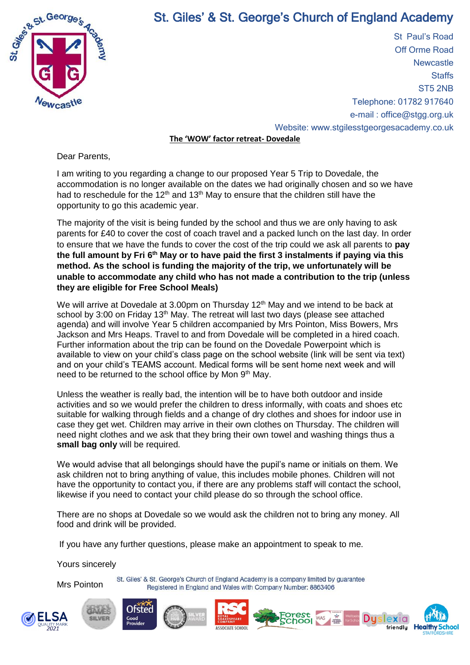

## St. Giles' & St. George's Church of England Academy

St Paul's Road Off Orme Road **Newcastle Staffs** ST5 2NB Telephone: 01782 917640 e-mail : office@stgg.org.uk Website: www.stgilesstgeorgesacademy.co.uk

**The 'WOW' factor retreat- Dovedale**

Dear Parents,

I am writing to you regarding a change to our proposed Year 5 Trip to Dovedale, the accommodation is no longer available on the dates we had originally chosen and so we have had to reschedule for the  $12<sup>th</sup>$  and  $13<sup>th</sup>$  May to ensure that the children still have the opportunity to go this academic year.

The majority of the visit is being funded by the school and thus we are only having to ask parents for £40 to cover the cost of coach travel and a packed lunch on the last day. In order to ensure that we have the funds to cover the cost of the trip could we ask all parents to **pay the full amount by Fri 6th May or to have paid the first 3 instalments if paying via this method. As the school is funding the majority of the trip, we unfortunately will be unable to accommodate any child who has not made a contribution to the trip (unless they are eligible for Free School Meals)**

We will arrive at Dovedale at 3.00pm on Thursday 12<sup>th</sup> May and we intend to be back at school by 3:00 on Friday 13<sup>th</sup> May. The retreat will last two days (please see attached agenda) and will involve Year 5 children accompanied by Mrs Pointon, Miss Bowers, Mrs Jackson and Mrs Heaps. Travel to and from Dovedale will be completed in a hired coach. Further information about the trip can be found on the Dovedale Powerpoint which is available to view on your child's class page on the school website (link will be sent via text) and on your child's TEAMS account. Medical forms will be sent home next week and will need to be returned to the school office by Mon 9th May.

Unless the weather is really bad, the intention will be to have both outdoor and inside activities and so we would prefer the children to dress informally, with coats and shoes etc suitable for walking through fields and a change of dry clothes and shoes for indoor use in case they get wet. Children may arrive in their own clothes on Thursday. The children will need night clothes and we ask that they bring their own towel and washing things thus a **small bag only** will be required.

We would advise that all belongings should have the pupil's name or initials on them. We ask children not to bring anything of value, this includes mobile phones. Children will not have the opportunity to contact you, if there are any problems staff will contact the school, likewise if you need to contact your child please do so through the school office.

There are no shops at Dovedale so we would ask the children not to bring any money. All food and drink will be provided.

If you have any further questions, please make an appointment to speak to me.

Yours sincerely

Mrs Pointon

St. Giles' & St. George's Church of England Academy is a company limited by quarantee Registered in England and Wales with Company Number: 8863406